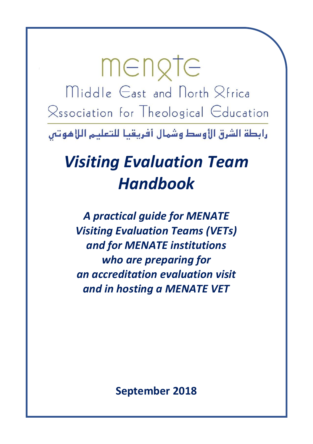mengte Middle East and North Rfrica Rssociation for Theological Education

رابطة الشرق الأوسط وشمال أفريقيا للتعليم اللاهوتين

# *Visiting Evaluation Team Handbook*

*A practical guide for MENATE Visiting Evaluation Teams (VETs) and for MENATE institutions who are preparing for an accreditation evaluation visit and in hosting a MENATE VET*

**September 2018**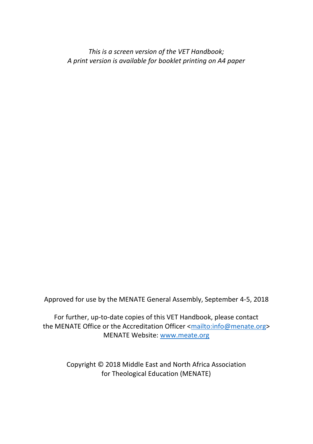*This is a screen version of the VET Handbook; A print version is available for booklet printing on A4 paper*

Approved for use by the MENATE General Assembly, September 4-5, 2018

For further, up-to-date copies of this VET Handbook, please contact the MENATE Office or the Accreditation Officer [<mailto:info@menate.org>](mailto:info@menate.org) MENATE Website: [www.meate.org](http://www.meate.org/)

> Copyright © 2018 Middle East and North Africa Association for Theological Education (MENATE)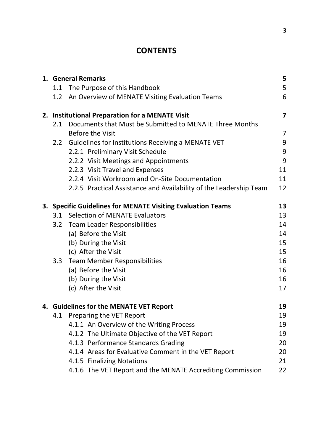# **CONTENTS**

| 1. General Remarks<br>5                                     |                                                                    |    |  |  |
|-------------------------------------------------------------|--------------------------------------------------------------------|----|--|--|
|                                                             | 1.1 The Purpose of this Handbook                                   | 5  |  |  |
|                                                             | 1.2 An Overview of MENATE Visiting Evaluation Teams                | 6  |  |  |
|                                                             | 2. Institutional Preparation for a MENATE Visit                    | 7  |  |  |
| 2.1                                                         | Documents that Must be Submitted to MENATE Three Months            |    |  |  |
|                                                             | Before the Visit                                                   | 7  |  |  |
| $2.2\phantom{0}$                                            | Guidelines for Institutions Receiving a MENATE VET                 | 9  |  |  |
|                                                             | 2.2.1 Preliminary Visit Schedule                                   | 9  |  |  |
|                                                             | 2.2.2 Visit Meetings and Appointments                              | 9  |  |  |
|                                                             | 2.2.3 Visit Travel and Expenses                                    | 11 |  |  |
|                                                             | 2.2.4 Visit Workroom and On-Site Documentation                     | 11 |  |  |
|                                                             | 2.2.5 Practical Assistance and Availability of the Leadership Team | 12 |  |  |
| 3. Specific Guidelines for MENATE Visiting Evaluation Teams |                                                                    |    |  |  |
| 3.1                                                         | Selection of MENATE Evaluators                                     | 13 |  |  |
| 3.2                                                         | Team Leader Responsibilities                                       | 14 |  |  |
|                                                             | (a) Before the Visit                                               | 14 |  |  |
|                                                             | (b) During the Visit                                               | 15 |  |  |
|                                                             | (c) After the Visit                                                | 15 |  |  |
| 3.3                                                         | <b>Team Member Responsibilities</b>                                | 16 |  |  |
|                                                             | (a) Before the Visit                                               | 16 |  |  |
|                                                             | (b) During the Visit                                               | 16 |  |  |
|                                                             | (c) After the Visit                                                | 17 |  |  |
|                                                             | 4. Guidelines for the MENATE VET Report                            | 19 |  |  |
| 4.1                                                         | Preparing the VET Report                                           | 19 |  |  |
|                                                             | 4.1.1 An Overview of the Writing Process                           | 19 |  |  |
|                                                             | 4.1.2 The Ultimate Objective of the VET Report                     | 19 |  |  |
|                                                             | 4.1.3 Performance Standards Grading                                | 20 |  |  |
|                                                             | 4.1.4 Areas for Evaluative Comment in the VET Report               | 20 |  |  |
|                                                             | 4.1.5 Finalizing Notations                                         | 21 |  |  |
|                                                             | 4.1.6 The VET Report and the MENATE Accrediting Commission         | 22 |  |  |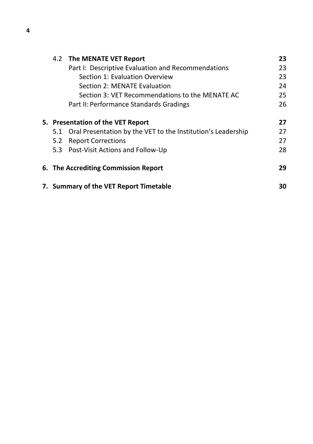|     | 4.2 The MENATE VET Report                                    | 23 |
|-----|--------------------------------------------------------------|----|
|     | Part I: Descriptive Evaluation and Recommendations           | 23 |
|     | Section 1: Evaluation Overview                               | 23 |
|     | Section 2: MENATE Evaluation                                 | 24 |
|     | Section 3: VET Recommendations to the MENATE AC              | 25 |
|     | Part II: Performance Standards Gradings                      | 26 |
|     | 5. Presentation of the VET Report                            | 27 |
| 5.1 | Oral Presentation by the VET to the Institution's Leadership | 27 |
| 5.2 | <b>Report Corrections</b>                                    | 27 |
|     | 5.3 Post-Visit Actions and Follow-Up                         | 28 |
|     | 6. The Accrediting Commission Report                         | 29 |
|     | 7. Summary of the VET Report Timetable                       | 30 |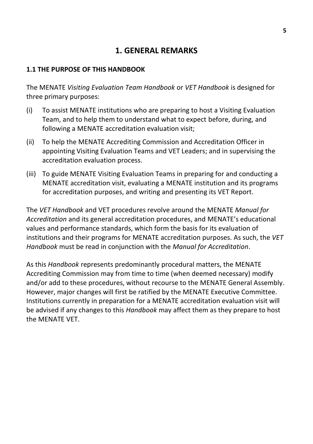# **1. GENERAL REMARKS**

#### **1.1 THE PURPOSE OF THIS HANDBOOK**

The MENATE *Visiting Evaluation Team Handbook* or *VET Handbook* is designed for three primary purposes:

- (i) To assist MENATE institutions who are preparing to host a Visiting Evaluation Team, and to help them to understand what to expect before, during, and following a MENATE accreditation evaluation visit;
- (ii) To help the MENATE Accrediting Commission and Accreditation Officer in appointing Visiting Evaluation Teams and VET Leaders; and in supervising the accreditation evaluation process.
- (iii) To guide MENATE Visiting Evaluation Teams in preparing for and conducting a MENATE accreditation visit, evaluating a MENATE institution and its programs for accreditation purposes, and writing and presenting its VET Report.

The *VET Handbook* and VET procedures revolve around the MENATE *Manual for Accreditation* and its general accreditation procedures, and MENATE's educational values and performance standards, which form the basis for its evaluation of institutions and their programs for MENATE accreditation purposes. As such, the *VET Handbook* must be read in conjunction with the *Manual for Accreditation*.

As this *Handbook* represents predominantly procedural matters, the MENATE Accrediting Commission may from time to time (when deemed necessary) modify and/or add to these procedures, without recourse to the MENATE General Assembly. However, major changes will first be ratified by the MENATE Executive Committee. Institutions currently in preparation for a MENATE accreditation evaluation visit will be advised if any changes to this *Handbook* may affect them as they prepare to host the MENATE VET.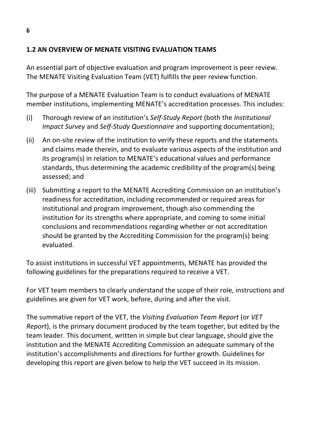#### **1.2 AN OVERVIEW OF MENATE VISITING EVALUATION TEAMS**

An essential part of objective evaluation and program improvement is peer review. The MENATE Visiting Evaluation Team (VET) fulfills the peer review function.

The purpose of a MENATE Evaluation Team is to conduct evaluations of MENATE member institutions, implementing MENATE's accreditation processes. This includes:

- (i) Thorough review of an institution's *Self-Study Report* (both the *Institutional Impact Survey* and *Self-Study Questionnaire* and supporting documentation);
- (ii) An on-site review of the institution to verify these reports and the statements and claims made therein, and to evaluate various aspects of the institution and its program(s) in relation to MENATE's educational values and performance standards, thus determining the academic credibility of the program(s) being assessed; and
- (iii) Submitting a report to the MENATE Accrediting Commission on an institution's readiness for accreditation, including recommended or required areas for institutional and program improvement, though also commending the institution for its strengths where appropriate, and coming to some initial conclusions and recommendations regarding whether or not accreditation should be granted by the Accrediting Commission for the program(s) being evaluated.

To assist institutions in successful VET appointments, MENATE has provided the following guidelines for the preparations required to receive a VET.

For VET team members to clearly understand the scope of their role, instructions and guidelines are given for VET work, before, during and after the visit.

The summative report of the VET, the *Visiting Evaluation Team Report* (or *VET Report*), is the primary document produced by the team together, but edited by the team leader. This document, written in simple but clear language, should give the institution and the MENATE Accrediting Commission an adequate summary of the institution's accomplishments and directions for further growth. Guidelines for developing this report are given below to help the VET succeed in its mission.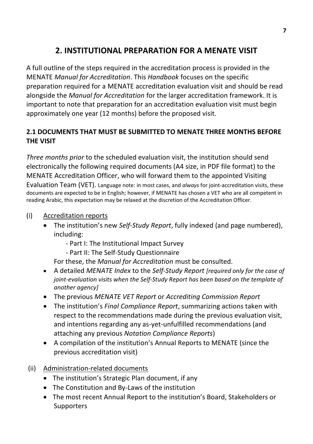# **2. INSTITUTIONAL PREPARATION FOR A MENATE VISIT**

A full outline of the steps required in the accreditation process is provided in the MENATE *Manual for Accreditation*. This *Handbook* focuses on the specific preparation required for a MENATE accreditation evaluation visit and should be read alongside the *Manual for Accreditation* for the larger accreditation framework. It is important to note that preparation for an accreditation evaluation visit must begin approximately one year (12 months) before the proposed visit.

# **2.1 DOCUMENTS THAT MUST BE SUBMITTED TO MENATE THREE MONTHS BEFORE THE VISIT**

*Three months prior* to the scheduled evaluation visit, the institution should send electronically the following required documents (A4 size, in PDF file format) to the MENATE Accreditation Officer, who will forward them to the appointed Visiting

Evaluation Team (VET). Language note: in most cases, and *always* for joint-accreditation visits, these documents are expected to be in English; however, if MENATE has chosen a VET who are all competent in reading Arabic, this expectation may be relaxed at the discretion of the Accreditation Officer.

- (i) Accreditation reports
	- The institution's new *Self-Study Report*, fully indexed (and page numbered), including:
		- Part I: The Institutional Impact Survey
		- Part II: The Self-Study Questionnaire

For these, the *Manual for Accreditation* must be consulted.

- A detailed *MENATE Index* to the *Self-Study Report [required only for the case of joint-evaluation visits when the Self-Study Report has been based on the template of another agency]*
- The previous *MENATE VET Report* or *Accrediting Commission Report*
- The institution's *Final Compliance Report*, summarizing actions taken with respect to the recommendations made during the previous evaluation visit, and intentions regarding any as-yet-unfulfilled recommendations (and attaching any previous *Notation Compliance Reports*)
- A compilation of the institution's Annual Reports to MENATE (since the previous accreditation visit)
- (ii) Administration-related documents
	- The institution's Strategic Plan document, if any
	- The Constitution and By-Laws of the institution
	- The most recent Annual Report to the institution's Board, Stakeholders or **Supporters**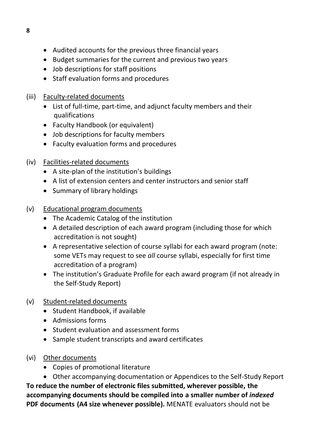- Audited accounts for the previous three financial years
- Budget summaries for the current and previous two years
- Job descriptions for staff positions
- Staff evaluation forms and procedures
- (iii) Faculty-related documents
	- List of full-time, part-time, and adjunct faculty members and their qualifications
	- Faculty Handbook (or equivalent)
	- Job descriptions for faculty members
	- Faculty evaluation forms and procedures
- (iv) Facilities-related documents
	- A site-plan of the institution's buildings
	- A list of extension centers and center instructors and senior staff
	- Summary of library holdings
- (v) Educational program documents
	- The Academic Catalog of the institution
	- A detailed description of each award program (including those for which accreditation is not sought)
	- A representative selection of course syllabi for each award program (note: some VETs may request to see *all* course syllabi, especially for first time accreditation of a program)
	- The institution's Graduate Profile for each award program (if not already in the Self-Study Report)
- (v) Student-related documents
	- Student Handbook, if available
	- Admissions forms
	- Student evaluation and assessment forms
	- Sample student transcripts and award certificates
- (vi) Other documents
	- Copies of promotional literature
- Other accompanying documentation or Appendices to the Self-Study Report **To reduce the number of electronic files submitted, wherever possible, the accompanying documents should be compiled into a smaller number of** *indexed* **PDF documents (A4 size whenever possible).** MENATE evaluators should not be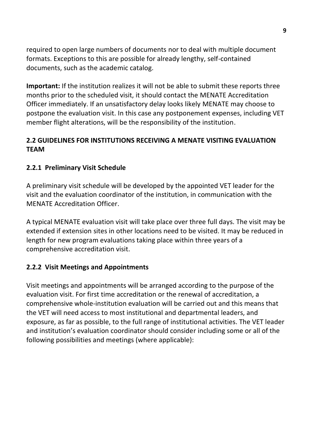required to open large numbers of documents nor to deal with multiple document formats. Exceptions to this are possible for already lengthy, self-contained documents, such as the academic catalog.

**Important:** If the institution realizes it will not be able to submit these reports three months prior to the scheduled visit, it should contact the MENATE Accreditation Officer immediately. If an unsatisfactory delay looks likely MENATE may choose to postpone the evaluation visit. In this case any postponement expenses, including VET member flight alterations, will be the responsibility of the institution.

# **2.2 GUIDELINES FOR INSTITUTIONS RECEIVING A MENATE VISITING EVALUATION TEAM**

## **2.2.1 Preliminary Visit Schedule**

A preliminary visit schedule will be developed by the appointed VET leader for the visit and the evaluation coordinator of the institution, in communication with the MENATE Accreditation Officer.

A typical MENATE evaluation visit will take place over three full days. The visit may be extended if extension sites in other locations need to be visited. It may be reduced in length for new program evaluations taking place within three years of a comprehensive accreditation visit.

#### **2.2.2 Visit Meetings and Appointments**

Visit meetings and appointments will be arranged according to the purpose of the evaluation visit. For first time accreditation or the renewal of accreditation, a comprehensive whole-institution evaluation will be carried out and this means that the VET will need access to most institutional and departmental leaders, and exposure, as far as possible, to the full range of institutional activities. The VET leader and institution's evaluation coordinator should consider including some or all of the following possibilities and meetings (where applicable):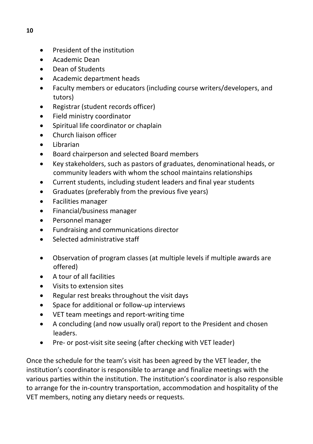- President of the institution
- Academic Dean
- Dean of Students
- Academic department heads
- Faculty members or educators (including course writers/developers, and tutors)
- Registrar (student records officer)
- Field ministry coordinator
- Spiritual life coordinator or chaplain
- Church liaison officer
- Librarian
- Board chairperson and selected Board members
- Key stakeholders, such as pastors of graduates, denominational heads, or community leaders with whom the school maintains relationships
- Current students, including student leaders and final year students
- Graduates (preferably from the previous five years)
- Facilities manager
- Financial/business manager
- Personnel manager
- Fundraising and communications director
- Selected administrative staff
- Observation of program classes (at multiple levels if multiple awards are offered)
- A tour of all facilities
- Visits to extension sites
- Regular rest breaks throughout the visit days
- Space for additional or follow-up interviews
- VET team meetings and report-writing time
- A concluding (and now usually oral) report to the President and chosen leaders.
- Pre- or post-visit site seeing (after checking with VET leader)

Once the schedule for the team's visit has been agreed by the VET leader, the institution's coordinator is responsible to arrange and finalize meetings with the various parties within the institution. The institution's coordinator is also responsible to arrange for the in-country transportation, accommodation and hospitality of the VET members, noting any dietary needs or requests.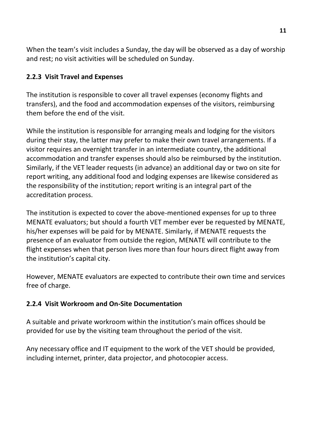When the team's visit includes a Sunday, the day will be observed as a day of worship and rest; no visit activities will be scheduled on Sunday.

# **2.2.3 Visit Travel and Expenses**

The institution is responsible to cover all travel expenses (economy flights and transfers), and the food and accommodation expenses of the visitors, reimbursing them before the end of the visit.

While the institution is responsible for arranging meals and lodging for the visitors during their stay, the latter may prefer to make their own travel arrangements. If a visitor requires an overnight transfer in an intermediate country, the additional accommodation and transfer expenses should also be reimbursed by the institution. Similarly, if the VET leader requests (in advance) an additional day or two on site for report writing, any additional food and lodging expenses are likewise considered as the responsibility of the institution; report writing is an integral part of the accreditation process.

The institution is expected to cover the above-mentioned expenses for up to three MENATE evaluators; but should a fourth VET member ever be requested by MENATE, his/her expenses will be paid for by MENATE. Similarly, if MENATE requests the presence of an evaluator from outside the region, MENATE will contribute to the flight expenses when that person lives more than four hours direct flight away from the institution's capital city.

However, MENATE evaluators are expected to contribute their own time and services free of charge.

# **2.2.4 Visit Workroom and On-Site Documentation**

A suitable and private workroom within the institution's main offices should be provided for use by the visiting team throughout the period of the visit.

Any necessary office and IT equipment to the work of the VET should be provided, including internet, printer, data projector, and photocopier access.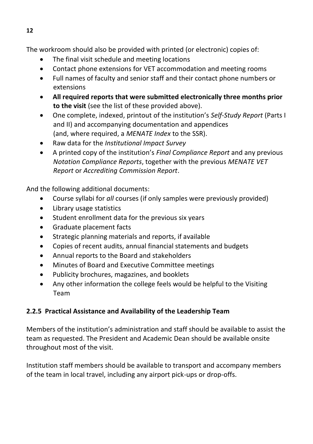The workroom should also be provided with printed (or electronic) copies of:

- The final visit schedule and meeting locations
- Contact phone extensions for VET accommodation and meeting rooms
- Full names of faculty and senior staff and their contact phone numbers or extensions
- **All required reports that were submitted electronically three months prior to the visit** (see the list of these provided above).
- One complete, indexed, printout of the institution's *Self-Study Report* (Parts I and II) and accompanying documentation and appendices (and, where required, a *MENATE Index* to the SSR).
- Raw data for the *Institutional Impact Survey*
- A printed copy of the institution's *Final Compliance Report* and any previous *Notation Compliance Reports*, together with the previous *MENATE VET Report* or *Accrediting Commission Report*.

And the following additional documents:

- Course syllabi for *all* courses (if only samples were previously provided)
- Library usage statistics
- Student enrollment data for the previous six years
- Graduate placement facts
- Strategic planning materials and reports, if available
- Copies of recent audits, annual financial statements and budgets
- Annual reports to the Board and stakeholders
- Minutes of Board and Executive Committee meetings
- Publicity brochures, magazines, and booklets
- Any other information the college feels would be helpful to the Visiting Team

# **2.2.5 Practical Assistance and Availability of the Leadership Team**

Members of the institution's administration and staff should be available to assist the team as requested. The President and Academic Dean should be available onsite throughout most of the visit.

Institution staff members should be available to transport and accompany members of the team in local travel, including any airport pick-ups or drop-offs.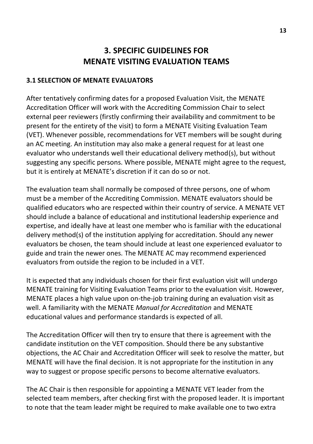# **3. SPECIFIC GUIDELINES FOR MENATE VISITING EVALUATION TEAMS**

#### **3.1 SELECTION OF MENATE EVALUATORS**

After tentatively confirming dates for a proposed Evaluation Visit, the MENATE Accreditation Officer will work with the Accrediting Commission Chair to select external peer reviewers (firstly confirming their availability and commitment to be present for the entirety of the visit) to form a MENATE Visiting Evaluation Team (VET). Whenever possible, recommendations for VET members will be sought during an AC meeting. An institution may also make a general request for at least one evaluator who understands well their educational delivery method(s), but without suggesting any specific persons. Where possible, MENATE might agree to the request, but it is entirely at MENATE's discretion if it can do so or not.

The evaluation team shall normally be composed of three persons, one of whom must be a member of the Accrediting Commission. MENATE evaluators should be qualified educators who are respected within their country of service. A MENATE VET should include a balance of educational and institutional leadership experience and expertise, and ideally have at least one member who is familiar with the educational delivery method(s) of the institution applying for accreditation. Should any newer evaluators be chosen, the team should include at least one experienced evaluator to guide and train the newer ones. The MENATE AC may recommend experienced evaluators from outside the region to be included in a VET.

It is expected that any individuals chosen for their first evaluation visit will undergo MENATE training for Visiting Evaluation Teams prior to the evaluation visit. However, MENATE places a high value upon on-the-job training during an evaluation visit as well. A familiarity with the MENATE *Manual for Accreditation* and MENATE educational values and performance standards is expected of all.

The Accreditation Officer will then try to ensure that there is agreement with the candidate institution on the VET composition. Should there be any substantive objections, the AC Chair and Accreditation Officer will seek to resolve the matter, but MENATE will have the final decision. It is not appropriate for the institution in any way to suggest or propose specific persons to become alternative evaluators.

The AC Chair is then responsible for appointing a MENATE VET leader from the selected team members, after checking first with the proposed leader. It is important to note that the team leader might be required to make available one to two extra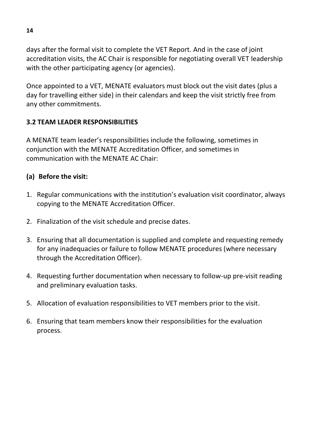days after the formal visit to complete the VET Report. And in the case of joint accreditation visits, the AC Chair is responsible for negotiating overall VET leadership with the other participating agency (or agencies).

Once appointed to a VET, MENATE evaluators must block out the visit dates (plus a day for travelling either side) in their calendars and keep the visit strictly free from any other commitments.

# **3.2 TEAM LEADER RESPONSIBILITIES**

A MENATE team leader's responsibilities include the following, sometimes in conjunction with the MENATE Accreditation Officer, and sometimes in communication with the MENATE AC Chair:

## **(a) Before the visit:**

- 1. Regular communications with the institution's evaluation visit coordinator, always copying to the MENATE Accreditation Officer.
- 2. Finalization of the visit schedule and precise dates.
- 3. Ensuring that all documentation is supplied and complete and requesting remedy for any inadequacies or failure to follow MENATE procedures (where necessary through the Accreditation Officer).
- 4. Requesting further documentation when necessary to follow-up pre-visit reading and preliminary evaluation tasks.
- 5. Allocation of evaluation responsibilities to VET members prior to the visit.
- 6. Ensuring that team members know their responsibilities for the evaluation process.

**14**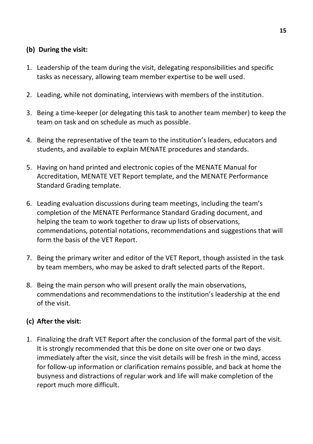#### **(b) During the visit:**

- 1. Leadership of the team during the visit, delegating responsibilities and specific tasks as necessary, allowing team member expertise to be well used.
- 2. Leading, while not dominating, interviews with members of the institution.
- 3. Being a time-keeper (or delegating this task to another team member) to keep the team on task and on schedule as much as possible.
- 4. Being the representative of the team to the institution's leaders, educators and students, and available to explain MENATE procedures and standards.
- 5. Having on hand printed and electronic copies of the MENATE Manual for Accreditation, MENATE VET Report template, and the MENATE Performance Standard Grading template.
- 6. Leading evaluation discussions during team meetings, including the team's completion of the MENATE Performance Standard Grading document, and helping the team to work together to draw up lists of observations, commendations, potential notations, recommendations and suggestions that will form the basis of the VET Report.
- 7. Being the primary writer and editor of the VET Report, though assisted in the task by team members, who may be asked to draft selected parts of the Report.
- 8. Being the main person who will present orally the main observations, commendations and recommendations to the institution's leadership at the end of the visit.

#### **(c) After the visit:**

1. Finalizing the draft VET Report after the conclusion of the formal part of the visit. It is strongly recommended that this be done on site over one or two days immediately after the visit, since the visit details will be fresh in the mind, access for follow-up information or clarification remains possible, and back at home the busyness and distractions of regular work and life will make completion of the report much more difficult.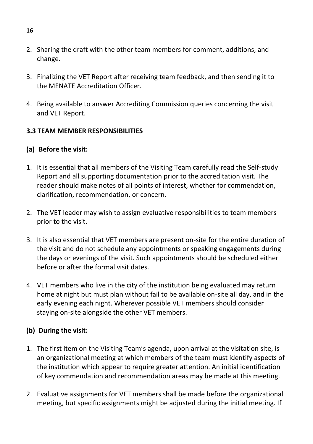- 2. Sharing the draft with the other team members for comment, additions, and change.
- 3. Finalizing the VET Report after receiving team feedback, and then sending it to the MENATE Accreditation Officer.
- 4. Being available to answer Accrediting Commission queries concerning the visit and VET Report.

#### **3.3 TEAM MEMBER RESPONSIBILITIES**

#### **(a) Before the visit:**

- 1. It is essential that all members of the Visiting Team carefully read the Self-study Report and all supporting documentation prior to the accreditation visit. The reader should make notes of all points of interest, whether for commendation, clarification, recommendation, or concern.
- 2. The VET leader may wish to assign evaluative responsibilities to team members prior to the visit.
- 3. It is also essential that VET members are present on-site for the entire duration of the visit and do not schedule any appointments or speaking engagements during the days or evenings of the visit. Such appointments should be scheduled either before or after the formal visit dates.
- 4. VET members who live in the city of the institution being evaluated may return home at night but must plan without fail to be available on-site all day, and in the early evening each night. Wherever possible VET members should consider staying on-site alongside the other VET members.

#### **(b) During the visit:**

- 1. The first item on the Visiting Team's agenda, upon arrival at the visitation site, is an organizational meeting at which members of the team must identify aspects of the institution which appear to require greater attention. An initial identification of key commendation and recommendation areas may be made at this meeting.
- 2. Evaluative assignments for VET members shall be made before the organizational meeting, but specific assignments might be adjusted during the initial meeting. If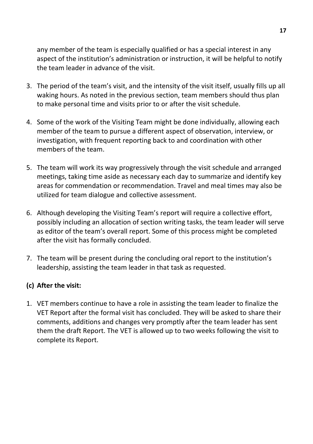any member of the team is especially qualified or has a special interest in any aspect of the institution's administration or instruction, it will be helpful to notify the team leader in advance of the visit.

- 3. The period of the team's visit, and the intensity of the visit itself, usually fills up all waking hours. As noted in the previous section, team members should thus plan to make personal time and visits prior to or after the visit schedule.
- 4. Some of the work of the Visiting Team might be done individually, allowing each member of the team to pursue a different aspect of observation, interview, or investigation, with frequent reporting back to and coordination with other members of the team.
- 5. The team will work its way progressively through the visit schedule and arranged meetings, taking time aside as necessary each day to summarize and identify key areas for commendation or recommendation. Travel and meal times may also be utilized for team dialogue and collective assessment.
- 6. Although developing the Visiting Team's report will require a collective effort, possibly including an allocation of section writing tasks, the team leader will serve as editor of the team's overall report. Some of this process might be completed after the visit has formally concluded.
- 7. The team will be present during the concluding oral report to the institution's leadership, assisting the team leader in that task as requested.

#### **(c) After the visit:**

1. VET members continue to have a role in assisting the team leader to finalize the VET Report after the formal visit has concluded. They will be asked to share their comments, additions and changes very promptly after the team leader has sent them the draft Report. The VET is allowed up to two weeks following the visit to complete its Report.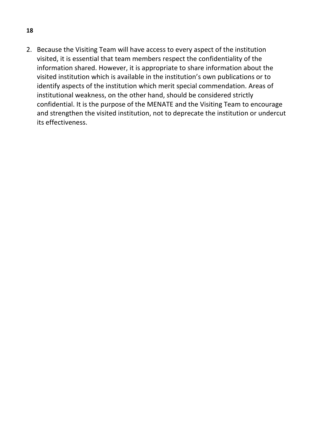2. Because the Visiting Team will have access to every aspect of the institution visited, it is essential that team members respect the confidentiality of the information shared. However, it is appropriate to share information about the visited institution which is available in the institution's own publications or to identify aspects of the institution which merit special commendation. Areas of institutional weakness, on the other hand, should be considered strictly confidential. It is the purpose of the MENATE and the Visiting Team to encourage and strengthen the visited institution, not to deprecate the institution or undercut its effectiveness.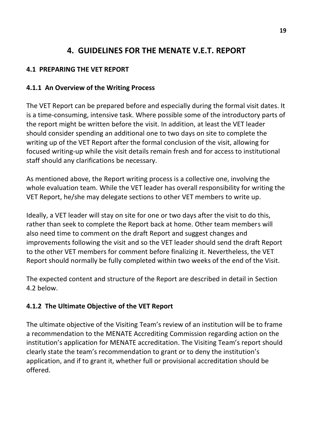# **4. GUIDELINES FOR THE MENATE V.E.T. REPORT**

## **4.1 PREPARING THE VET REPORT**

## **4.1.1 An Overview of the Writing Process**

The VET Report can be prepared before and especially during the formal visit dates. It is a time-consuming, intensive task. Where possible some of the introductory parts of the report might be written before the visit. In addition, at least the VET leader should consider spending an additional one to two days on site to complete the writing up of the VET Report after the formal conclusion of the visit, allowing for focused writing-up while the visit details remain fresh and for access to institutional staff should any clarifications be necessary.

As mentioned above, the Report writing process is a collective one, involving the whole evaluation team. While the VET leader has overall responsibility for writing the VET Report, he/she may delegate sections to other VET members to write up.

Ideally, a VET leader will stay on site for one or two days after the visit to do this, rather than seek to complete the Report back at home. Other team members will also need time to comment on the draft Report and suggest changes and improvements following the visit and so the VET leader should send the draft Report to the other VET members for comment before finalizing it. Nevertheless, the VET Report should normally be fully completed within two weeks of the end of the Visit.

The expected content and structure of the Report are described in detail in Section 4.2 below.

# **4.1.2 The Ultimate Objective of the VET Report**

The ultimate objective of the Visiting Team's review of an institution will be to frame a recommendation to the MENATE Accrediting Commission regarding action on the institution's application for MENATE accreditation. The Visiting Team's report should clearly state the team's recommendation to grant or to deny the institution's application, and if to grant it, whether full or provisional accreditation should be offered.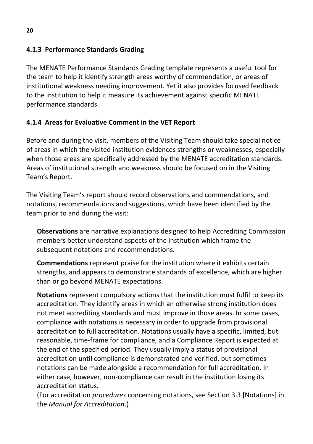# **4.1.3 Performance Standards Grading**

The MENATE Performance Standards Grading template represents a useful tool for the team to help it identify strength areas worthy of commendation, or areas of institutional weakness needing improvement. Yet it also provides focused feedback to the institution to help it measure its achievement against specific MENATE performance standards.

## **4.1.4 Areas for Evaluative Comment in the VET Report**

Before and during the visit, members of the Visiting Team should take special notice of areas in which the visited institution evidences strengths or weaknesses, especially when those areas are specifically addressed by the MENATE accreditation standards. Areas of institutional strength and weakness should be focused on in the Visiting Team's Report.

The Visiting Team's report should record observations and commendations, and notations, recommendations and suggestions, which have been identified by the team prior to and during the visit:

**Observations** are narrative explanations designed to help Accrediting Commission members better understand aspects of the institution which frame the subsequent notations and recommendations.

**Commendations** represent praise for the institution where it exhibits certain strengths, and appears to demonstrate standards of excellence, which are higher than or go beyond MENATE expectations.

**Notations** represent compulsory actions that the institution must fulfil to keep its accreditation. They identify areas in which an otherwise strong institution does not meet accrediting standards and must improve in those areas. In some cases, compliance with notations is necessary in order to upgrade from provisional accreditation to full accreditation. Notations usually have a specific, limited, but reasonable, time-frame for compliance, and a Compliance Report is expected at the end of the specified period. They usually imply a status of provisional accreditation until compliance is demonstrated and verified, but sometimes notations can be made alongside a recommendation for full accreditation. In either case, however, non-compliance can result in the institution losing its accreditation status.

(For accreditation *procedures* concerning notations, see Section 3.3 [Notations] in the *Manual for Accreditation*.)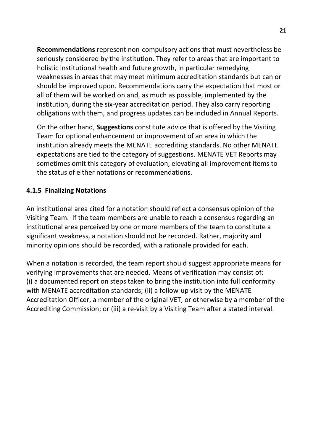**Recommendations** represent non-compulsory actions that must nevertheless be seriously considered by the institution. They refer to areas that are important to holistic institutional health and future growth, in particular remedying weaknesses in areas that may meet minimum accreditation standards but can or should be improved upon. Recommendations carry the expectation that most or all of them will be worked on and, as much as possible, implemented by the institution, during the six-year accreditation period. They also carry reporting obligations with them, and progress updates can be included in Annual Reports.

On the other hand, **Suggestions** constitute advice that is offered by the Visiting Team for optional enhancement or improvement of an area in which the institution already meets the MENATE accrediting standards. No other MENATE expectations are tied to the category of suggestions. MENATE VET Reports may sometimes omit this category of evaluation, elevating all improvement items to the status of either notations or recommendations.

#### **4.1.5 Finalizing Notations**

An institutional area cited for a notation should reflect a consensus opinion of the Visiting Team. If the team members are unable to reach a consensus regarding an institutional area perceived by one or more members of the team to constitute a significant weakness, a notation should not be recorded. Rather, majority and minority opinions should be recorded, with a rationale provided for each.

When a notation is recorded, the team report should suggest appropriate means for verifying improvements that are needed. Means of verification may consist of: (i) a documented report on steps taken to bring the institution into full conformity with MENATE accreditation standards; (ii) a follow-up visit by the MENATE Accreditation Officer, a member of the original VET, or otherwise by a member of the Accrediting Commission; or (iii) a re-visit by a Visiting Team after a stated interval.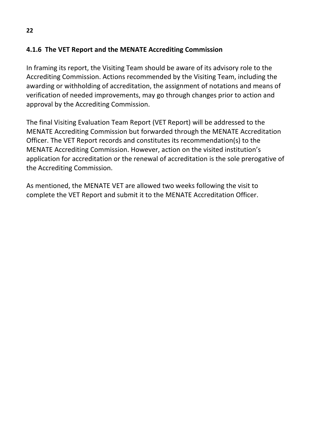## **4.1.6 The VET Report and the MENATE Accrediting Commission**

In framing its report, the Visiting Team should be aware of its advisory role to the Accrediting Commission. Actions recommended by the Visiting Team, including the awarding or withholding of accreditation, the assignment of notations and means of verification of needed improvements, may go through changes prior to action and approval by the Accrediting Commission.

The final Visiting Evaluation Team Report (VET Report) will be addressed to the MENATE Accrediting Commission but forwarded through the MENATE Accreditation Officer. The VET Report records and constitutes its recommendation(s) to the MENATE Accrediting Commission. However, action on the visited institution's application for accreditation or the renewal of accreditation is the sole prerogative of the Accrediting Commission.

As mentioned, the MENATE VET are allowed two weeks following the visit to complete the VET Report and submit it to the MENATE Accreditation Officer.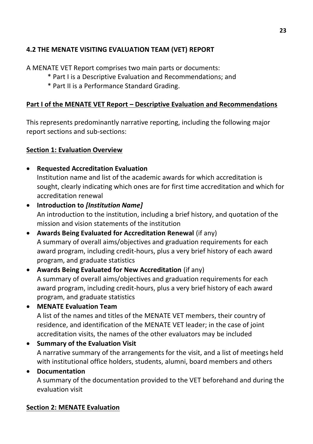# **4.2 THE MENATE VISITING EVALUATION TEAM (VET) REPORT**

A MENATE VET Report comprises two main parts or documents:

- \* Part I is a Descriptive Evaluation and Recommendations; and
- \* Part II is a Performance Standard Grading.

#### **Part I of the MENATE VET Report – Descriptive Evaluation and Recommendations**

This represents predominantly narrative reporting, including the following major report sections and sub-sections:

#### **Section 1: Evaluation Overview**

**Requested Accreditation Evaluation**

Institution name and list of the academic awards for which accreditation is sought, clearly indicating which ones are for first time accreditation and which for accreditation renewal

- **Introduction to** *[Institution Name]* An introduction to the institution, including a brief history, and quotation of the mission and vision statements of the institution
- **Awards Being Evaluated for Accreditation Renewal** (if any) A summary of overall aims/objectives and graduation requirements for each award program, including credit-hours, plus a very brief history of each award program, and graduate statistics
- **Awards Being Evaluated for New Accreditation** (if any) A summary of overall aims/objectives and graduation requirements for each award program, including credit-hours, plus a very brief history of each award program, and graduate statistics
- **MENATE Evaluation Team**

A list of the names and titles of the MENATE VET members, their country of residence, and identification of the MENATE VET leader; in the case of joint accreditation visits, the names of the other evaluators may be included

**• Summary of the Evaluation Visit** 

A narrative summary of the arrangements for the visit, and a list of meetings held with institutional office holders, students, alumni, board members and others

#### **Documentation**

A summary of the documentation provided to the VET beforehand and during the evaluation visit

#### **Section 2: MENATE Evaluation**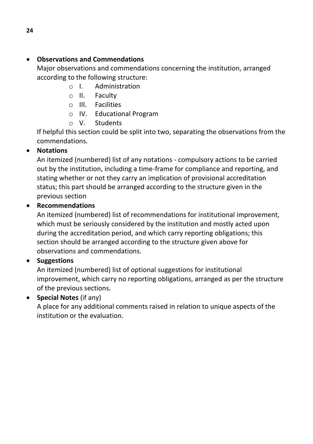## **Observations and Commendations**

Major observations and commendations concerning the institution, arranged according to the following structure:

- o I. Administration
- o II. Faculty
- o III. Facilities
- o IV. Educational Program
- o V. Students

If helpful this section could be split into two, separating the observations from the commendations.

## **Notations**

An itemized (numbered) list of any notations - compulsory actions to be carried out by the institution, including a time-frame for compliance and reporting, and stating whether or not they carry an implication of provisional accreditation status; this part should be arranged according to the structure given in the previous section

#### **Recommendations**

An itemized (numbered) list of recommendations for institutional improvement, which must be seriously considered by the institution and mostly acted upon during the accreditation period, and which carry reporting obligations; this section should be arranged according to the structure given above for observations and commendations.

#### **•** Suggestions

An itemized (numbered) list of optional suggestions for institutional improvement, which carry no reporting obligations, arranged as per the structure of the previous sections.

#### **Special Notes** (if any)

A place for any additional comments raised in relation to unique aspects of the institution or the evaluation.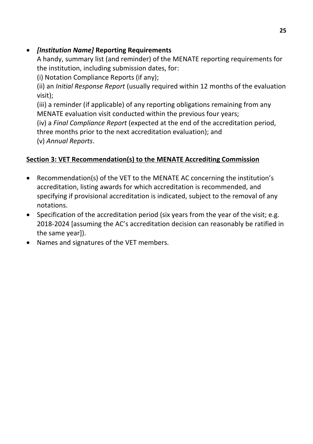# *[Institution Name]* **Reporting Requirements**

A handy, summary list (and reminder) of the MENATE reporting requirements for the institution, including submission dates, for:

(i) Notation Compliance Reports (if any);

(ii) an *Initial Response Report* (usually required within 12 months of the evaluation visit);

(iii) a reminder (if applicable) of any reporting obligations remaining from any MENATE evaluation visit conducted within the previous four years;

(iv) a *Final Compliance Report* (expected at the end of the accreditation period, three months prior to the next accreditation evaluation); and

(v) *Annual Reports*.

# **Section 3: VET Recommendation(s) to the MENATE Accrediting Commission**

- Recommendation(s) of the VET to the MENATE AC concerning the institution's accreditation, listing awards for which accreditation is recommended, and specifying if provisional accreditation is indicated, subject to the removal of any notations.
- $\bullet$  Specification of the accreditation period (six years from the year of the visit; e.g. 2018-2024 [assuming the AC's accreditation decision can reasonably be ratified in the same year]).
- Names and signatures of the VET members.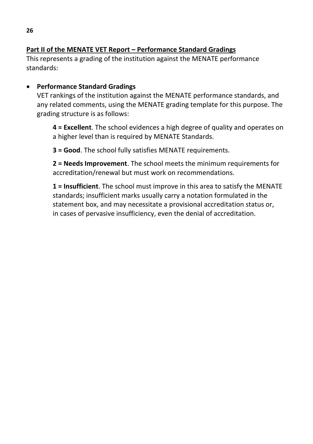## **Part II of the MENATE VET Report – Performance Standard Gradings**

This represents a grading of the institution against the MENATE performance standards:

## **Performance Standard Gradings**

VET rankings of the institution against the MENATE performance standards, and any related comments, using the MENATE grading template for this purpose. The grading structure is as follows:

**4 = Excellent**. The school evidences a high degree of quality and operates on a higher level than is required by MENATE Standards.

**3 = Good**. The school fully satisfies MENATE requirements.

**2 = Needs Improvement**. The school meets the minimum requirements for accreditation/renewal but must work on recommendations.

**1 = Insufficient**. The school must improve in this area to satisfy the MENATE standards; insufficient marks usually carry a notation formulated in the statement box, and may necessitate a provisional accreditation status or, in cases of pervasive insufficiency, even the denial of accreditation.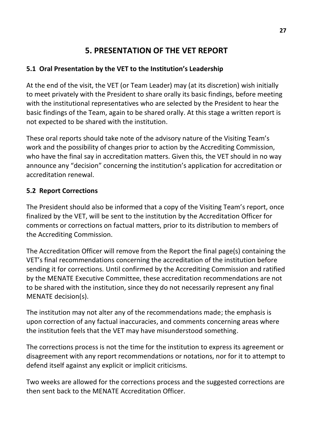# **5. PRESENTATION OF THE VET REPORT**

# **5.1 Oral Presentation by the VET to the Institution's Leadership**

At the end of the visit, the VET (or Team Leader) may (at its discretion) wish initially to meet privately with the President to share orally its basic findings, before meeting with the institutional representatives who are selected by the President to hear the basic findings of the Team, again to be shared orally. At this stage a written report is not expected to be shared with the institution.

These oral reports should take note of the advisory nature of the Visiting Team's work and the possibility of changes prior to action by the Accrediting Commission, who have the final say in accreditation matters. Given this, the VET should in no way announce any "decision" concerning the institution's application for accreditation or accreditation renewal.

## **5.2 Report Corrections**

The President should also be informed that a copy of the Visiting Team's report, once finalized by the VET, will be sent to the institution by the Accreditation Officer for comments or corrections on factual matters, prior to its distribution to members of the Accrediting Commission.

The Accreditation Officer will remove from the Report the final page(s) containing the VET's final recommendations concerning the accreditation of the institution before sending it for corrections. Until confirmed by the Accrediting Commission and ratified by the MENATE Executive Committee, these accreditation recommendations are not to be shared with the institution, since they do not necessarily represent any final MENATE decision(s).

The institution may not alter any of the recommendations made; the emphasis is upon correction of any factual inaccuracies, and comments concerning areas where the institution feels that the VET may have misunderstood something.

The corrections process is not the time for the institution to express its agreement or disagreement with any report recommendations or notations, nor for it to attempt to defend itself against any explicit or implicit criticisms.

Two weeks are allowed for the corrections process and the suggested corrections are then sent back to the MENATE Accreditation Officer.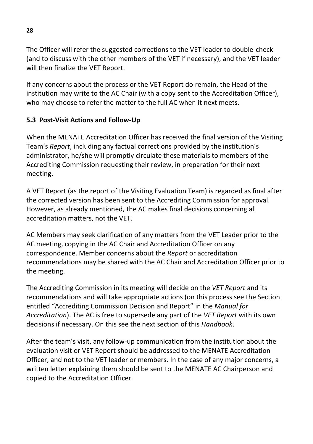The Officer will refer the suggested corrections to the VET leader to double-check (and to discuss with the other members of the VET if necessary), and the VET leader will then finalize the VET Report.

If any concerns about the process or the VET Report do remain, the Head of the institution may write to the AC Chair (with a copy sent to the Accreditation Officer), who may choose to refer the matter to the full AC when it next meets.

## **5.3 Post-Visit Actions and Follow-Up**

When the MENATE Accreditation Officer has received the final version of the Visiting Team's *Report*, including any factual corrections provided by the institution's administrator, he/she will promptly circulate these materials to members of the Accrediting Commission requesting their review, in preparation for their next meeting.

A VET Report (as the report of the Visiting Evaluation Team) is regarded as final after the corrected version has been sent to the Accrediting Commission for approval. However, as already mentioned, the AC makes final decisions concerning all accreditation matters, not the VET.

AC Members may seek clarification of any matters from the VET Leader prior to the AC meeting, copying in the AC Chair and Accreditation Officer on any correspondence. Member concerns about the *Report* or accreditation recommendations may be shared with the AC Chair and Accreditation Officer prior to the meeting.

The Accrediting Commission in its meeting will decide on the *VET Report* and its recommendations and will take appropriate actions (on this process see the Section entitled "Accrediting Commission Decision and Report" in the *Manual for Accreditation*). The AC is free to supersede any part of the *VET Report* with its own decisions if necessary. On this see the next section of this *Handbook*.

After the team's visit, any follow-up communication from the institution about the evaluation visit or VET Report should be addressed to the MENATE Accreditation Officer, and not to the VET leader or members. In the case of any major concerns, a written letter explaining them should be sent to the MENATE AC Chairperson and copied to the Accreditation Officer.

**28**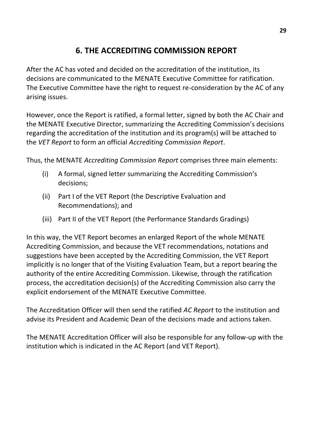# **6. THE ACCREDITING COMMISSION REPORT**

After the AC has voted and decided on the accreditation of the institution, its decisions are communicated to the MENATE Executive Committee for ratification. The Executive Committee have the right to request re-consideration by the AC of any arising issues.

However, once the Report is ratified, a formal letter, signed by both the AC Chair and the MENATE Executive Director, summarizing the Accrediting Commission's decisions regarding the accreditation of the institution and its program(s) will be attached to the *VET Report* to form an official *Accrediting Commission Report*.

Thus, the MENATE *Accrediting Commission Report* comprises three main elements:

- (i) A formal, signed letter summarizing the Accrediting Commission's decisions;
- (ii) Part I of the VET Report (the Descriptive Evaluation and Recommendations); and
- (iii) Part II of the VET Report (the Performance Standards Gradings)

In this way, the VET Report becomes an enlarged Report of the whole MENATE Accrediting Commission, and because the VET recommendations, notations and suggestions have been accepted by the Accrediting Commission, the VET Report implicitly is no longer that of the Visiting Evaluation Team, but a report bearing the authority of the entire Accrediting Commission. Likewise, through the ratification process, the accreditation decision(s) of the Accrediting Commission also carry the explicit endorsement of the MENATE Executive Committee.

The Accreditation Officer will then send the ratified *AC Report* to the institution and advise its President and Academic Dean of the decisions made and actions taken.

The MENATE Accreditation Officer will also be responsible for any follow-up with the institution which is indicated in the AC Report (and VET Report).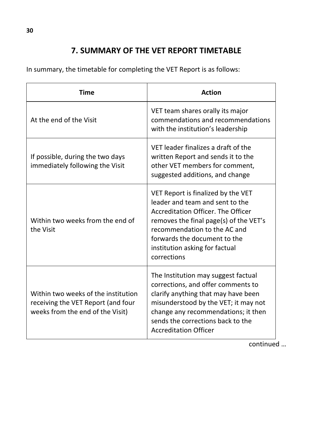# **7. SUMMARY OF THE VET REPORT TIMETABLE**

In summary, the timetable for completing the VET Report is as follows:

| <b>Time</b>                                                                                                   | <b>Action</b>                                                                                                                                                                                                                                                          |
|---------------------------------------------------------------------------------------------------------------|------------------------------------------------------------------------------------------------------------------------------------------------------------------------------------------------------------------------------------------------------------------------|
| At the end of the Visit                                                                                       | VET team shares orally its major<br>commendations and recommendations<br>with the institution's leadership                                                                                                                                                             |
| If possible, during the two days<br>immediately following the Visit                                           | VET leader finalizes a draft of the<br>written Report and sends it to the<br>other VET members for comment,<br>suggested additions, and change                                                                                                                         |
| Within two weeks from the end of<br>the Visit                                                                 | VET Report is finalized by the VET<br>leader and team and sent to the<br>Accreditation Officer. The Officer<br>removes the final page(s) of the VET's<br>recommendation to the AC and<br>forwards the document to the<br>institution asking for factual<br>corrections |
| Within two weeks of the institution<br>receiving the VET Report (and four<br>weeks from the end of the Visit) | The Institution may suggest factual<br>corrections, and offer comments to<br>clarify anything that may have been<br>misunderstood by the VET; it may not<br>change any recommendations; it then<br>sends the corrections back to the<br><b>Accreditation Officer</b>   |

continued …